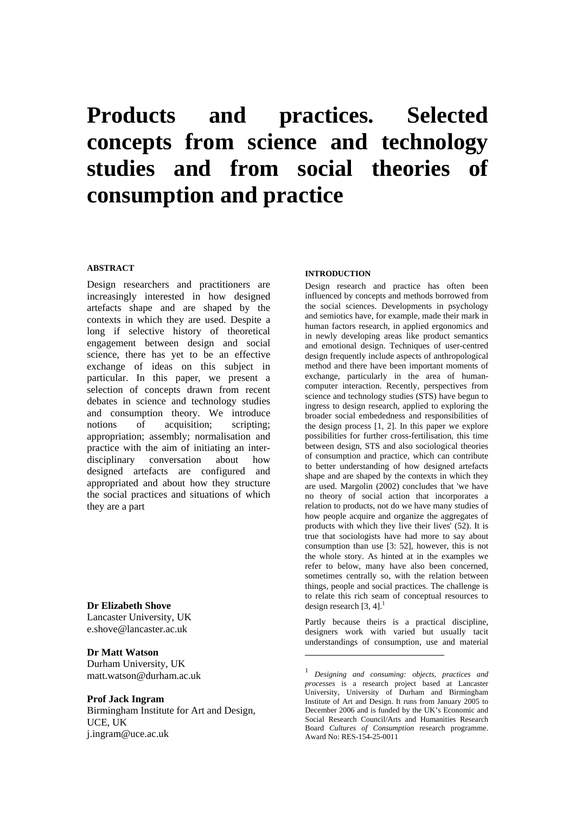# **Products and practices. Selected concepts from science and technology studies and from social theories of consumption and practice**

# **ABSTRACT**

Design researchers and practitioners are increasingly interested in how designed artefacts shape and are shaped by the contexts in which they are used. Despite a long if selective history of theoretical engagement between design and social science, there has yet to be an effective exchange of ideas on this subject in particular. In this paper, we present a selection of concepts drawn from recent debates in science and technology studies and consumption theory. We introduce notions of acquisition; scripting; appropriation; assembly; normalisation and practice with the aim of initiating an interdisciplinary conversation about how designed artefacts are configured and appropriated and about how they structure the social practices and situations of which they are a part

**Dr Elizabeth Shove**  Lancaster University, UK [e.shove@lancaster.ac.uk](mailto:e.shove@lancaster.ac.uk)

# **Dr Matt Watson**

Durham University, UK matt.watson@durham.ac.uk

## **Prof Jack Ingram**

Birmingham Institute for Art and Design, UCE, UK j.ingram@uce.ac.uk

# **INTRODUCTION**

Design research and practice has often been influenced by concepts and methods borrowed from the social sciences. Developments in psychology and semiotics have, for example, made their mark in human factors research, in applied ergonomics and in newly developing areas like product semantics and emotional design. Techniques of user-centred design frequently include aspects of anthropological method and there have been important moments of exchange, particularly in the area of humancomputer interaction. Recently, perspectives from science and technology studies (STS) have begun to ingress to design research, applied to exploring the broader social embededness and responsibilities of the design process [1, 2]. In this paper we explore possibilities for further cross-fertilisation, this time between design, STS and also sociological theories of consumption and practice, which can contribute to better understanding of how designed artefacts shape and are shaped by the contexts in which they are used. Margolin (2002) concludes that 'we have no theory of social action that incorporates a relation to products, not do we have many studies of how people acquire and organize the aggregates of products with which they live their lives' (52). It is true that sociologists have had more to say about consumption than use [3: 52], however, this is not the whole story. As hinted at in the examples we refer to below, many have also been concerned, sometimes centrally so, with the relation between things, people and social practices. The challenge is to relate this rich seam of conceptual resources to design research  $[3, 4]$ .<sup>1</sup>

Partly because theirs is a practical discipline, designers work with varied but usually tacit understandings of consumption, use and material

 $\overline{a}$ 

<span id="page-0-0"></span><sup>1</sup> *Designing and consuming: objects, practices and processes* is a research project based at Lancaster University, University of Durham and Birmingham Institute of Art and Design. It runs from January 2005 to December 2006 and is funded by the UK's Economic and Social Research Council/Arts and Humanities Research Board *Cultures of Consumption* research programme. Award No: RES-154-25-0011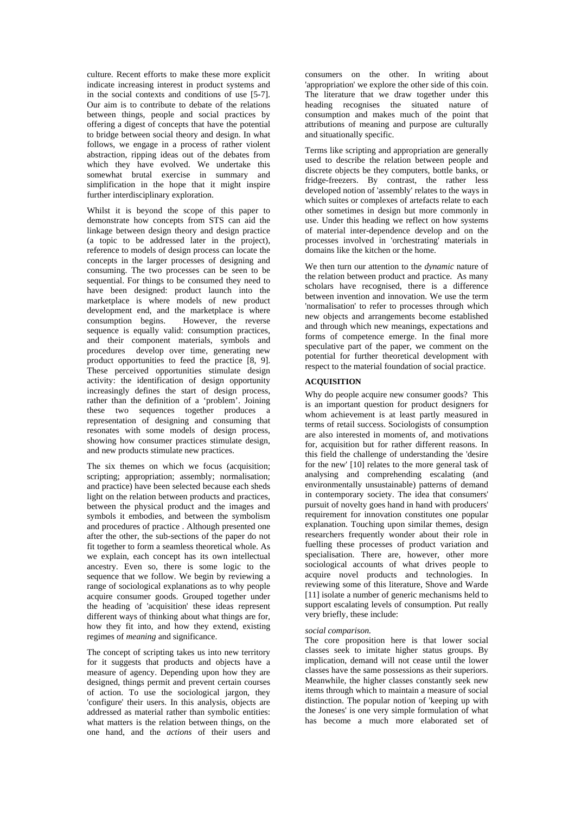culture. Recent efforts to make these more explicit indicate increasing interest in product systems and in the social contexts and conditions of use [5-7]. Our aim is to contribute to debate of the relations between things, people and social practices by offering a digest of concepts that have the potential to bridge between social theory and design. In what follows, we engage in a process of rather violent abstraction, ripping ideas out of the debates from which they have evolved. We undertake this somewhat brutal exercise in summary and simplification in the hope that it might inspire further interdisciplinary exploration.

Whilst it is beyond the scope of this paper to demonstrate how concepts from STS can aid the linkage between design theory and design practice (a topic to be addressed later in the project), reference to models of design process can locate the concepts in the larger processes of designing and consuming. The two processes can be seen to be sequential. For things to be consumed they need to have been designed: product launch into the marketplace is where models of new product development end, and the marketplace is where consumption begins. However, the reverse sequence is equally valid: consumption practices, and their component materials, symbols and procedures develop over time, generating new product opportunities to feed the practice [8, 9]. These perceived opportunities stimulate design activity: the identification of design opportunity increasingly defines the start of design process, rather than the definition of a 'problem'. Joining these two sequences together produces a representation of designing and consuming that resonates with some models of design process, showing how consumer practices stimulate design, and new products stimulate new practices.

The six themes on which we focus (acquisition: scripting; appropriation; assembly; normalisation; and practice) have been selected because each sheds light on the relation between products and practices, between the physical product and the images and symbols it embodies, and between the symbolism and procedures of practice . Although presented one after the other, the sub-sections of the paper do not fit together to form a seamless theoretical whole. As we explain, each concept has its own intellectual ancestry. Even so, there is some logic to the sequence that we follow. We begin by reviewing a range of sociological explanations as to why people acquire consumer goods. Grouped together under the heading of 'acquisition' these ideas represent different ways of thinking about what things are for, how they fit into, and how they extend, existing regimes of *meaning* and significance.

The concept of scripting takes us into new territory for it suggests that products and objects have a measure of agency. Depending upon how they are designed, things permit and prevent certain courses of action. To use the sociological jargon, they 'configure' their users. In this analysis, objects are addressed as material rather than symbolic entities: what matters is the relation between things, on the one hand, and the *actions* of their users and

consumers on the other. In writing about 'appropriation' we explore the other side of this coin. The literature that we draw together under this heading recognises the situated nature of consumption and makes much of the point that attributions of meaning and purpose are culturally and situationally specific.

Terms like scripting and appropriation are generally used to describe the relation between people and discrete objects be they computers, bottle banks, or fridge-freezers. By contrast, the rather less developed notion of 'assembly' relates to the ways in which suites or complexes of artefacts relate to each other sometimes in design but more commonly in use. Under this heading we reflect on how systems of material inter-dependence develop and on the processes involved in 'orchestrating' materials in domains like the kitchen or the home.

We then turn our attention to the *dynamic* nature of the relation between product and practice. As many scholars have recognised, there is a difference between invention and innovation. We use the term 'normalisation' to refer to processes through which new objects and arrangements become established and through which new meanings, expectations and forms of competence emerge. In the final more speculative part of the paper, we comment on the potential for further theoretical development with respect to the material foundation of social practice.

#### **ACQUISITION**

Why do people acquire new consumer goods? This is an important question for product designers for whom achievement is at least partly measured in terms of retail success. Sociologists of consumption are also interested in moments of, and motivations for, acquisition but for rather different reasons. In this field the challenge of understanding the 'desire for the new' [10] relates to the more general task of analysing and comprehending escalating (and environmentally unsustainable) patterns of demand in contemporary society. The idea that consumers' pursuit of novelty goes hand in hand with producers' requirement for innovation constitutes one popular explanation. Touching upon similar themes, design researchers frequently wonder about their role in fuelling these processes of product variation and specialisation. There are, however, other more sociological accounts of what drives people to acquire novel products and technologies. In reviewing some of this literature, Shove and Warde [11] isolate a number of generic mechanisms held to support escalating levels of consumption. Put really very briefly, these include:

#### *social comparison.*

The core proposition here is that lower social classes seek to imitate higher status groups. By implication, demand will not cease until the lower classes have the same possessions as their superiors. Meanwhile, the higher classes constantly seek new items through which to maintain a measure of social distinction. The popular notion of 'keeping up with the Joneses' is one very simple formulation of what has become a much more elaborated set of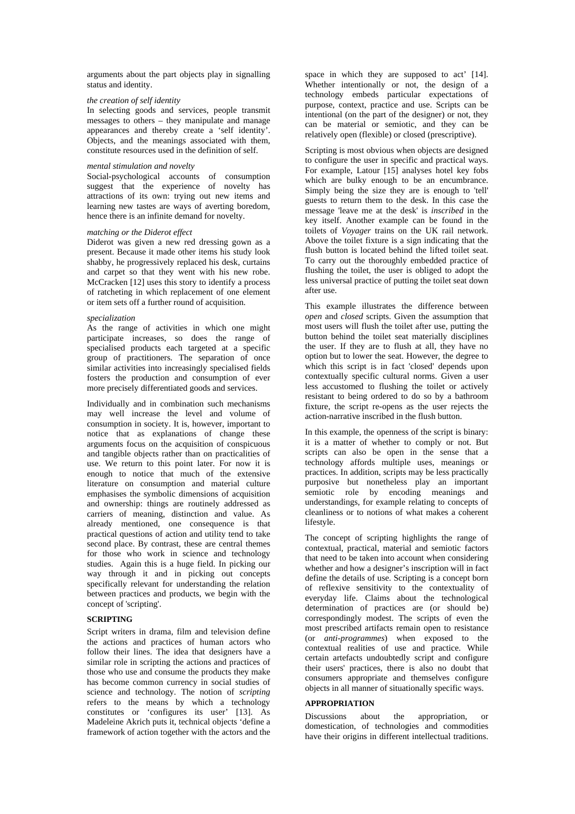arguments about the part objects play in signalling status and identity.

# *the creation of self identity*

In selecting goods and services, people transmit messages to others – they manipulate and manage appearances and thereby create a 'self identity'. Objects, and the meanings associated with them, constitute resources used in the definition of self.

#### *mental stimulation and novelty*

Social-psychological accounts of consumption suggest that the experience of novelty has attractions of its own: trying out new items and learning new tastes are ways of averting boredom, hence there is an infinite demand for novelty.

#### *matching or the Diderot effect*

Diderot was given a new red dressing gown as a present. Because it made other items his study look shabby, he progressively replaced his desk, curtains and carpet so that they went with his new robe. McCracken [12] uses this story to identify a process of ratcheting in which replacement of one element or item sets off a further round of acquisition.

#### *specialization*

As the range of activities in which one might participate increases, so does the range of specialised products each targeted at a specific group of practitioners. The separation of once similar activities into increasingly specialised fields fosters the production and consumption of ever more precisely differentiated goods and services.

Individually and in combination such mechanisms may well increase the level and volume of consumption in society. It is, however, important to notice that as explanations of change these arguments focus on the acquisition of conspicuous and tangible objects rather than on practicalities of use. We return to this point later. For now it is enough to notice that much of the extensive literature on consumption and material culture emphasises the symbolic dimensions of acquisition and ownership: things are routinely addressed as carriers of meaning, distinction and value. As already mentioned, one consequence is that practical questions of action and utility tend to take second place. By contrast, these are central themes for those who work in science and technology studies. Again this is a huge field. In picking our way through it and in picking out concepts specifically relevant for understanding the relation between practices and products, we begin with the concept of 'scripting'.

# **SCRIPTING**

Script writers in drama, film and television define the actions and practices of human actors who follow their lines. The idea that designers have a similar role in scripting the actions and practices of those who use and consume the products they make has become common currency in social studies of science and technology. The notion of *scripting*  refers to the means by which a technology constitutes or 'configures its user' [13]. As Madeleine Akrich puts it, technical objects 'define a framework of action together with the actors and the

space in which they are supposed to act' [14]. Whether intentionally or not, the design of a technology embeds particular expectations of purpose, context, practice and use. Scripts can be intentional (on the part of the designer) or not, they can be material or semiotic, and they can be relatively open (flexible) or closed (prescriptive).

Scripting is most obvious when objects are designed to configure the user in specific and practical ways. For example, Latour [15] analyses hotel key fobs which are bulky enough to be an encumbrance. Simply being the size they are is enough to 'tell' guests to return them to the desk. In this case the message 'leave me at the desk' is *inscribed* in the key itself. Another example can be found in the toilets of *Voyager* trains on the UK rail network. Above the toilet fixture is a sign indicating that the flush button is located behind the lifted toilet seat. To carry out the thoroughly embedded practice of flushing the toilet, the user is obliged to adopt the less universal practice of putting the toilet seat down after use.

This example illustrates the difference between *open* and *closed* scripts. Given the assumption that most users will flush the toilet after use, putting the button behind the toilet seat materially disciplines the user. If they are to flush at all, they have no option but to lower the seat. However, the degree to which this script is in fact 'closed' depends upon contextually specific cultural norms. Given a user less accustomed to flushing the toilet or actively resistant to being ordered to do so by a bathroom fixture, the script re-opens as the user rejects the action-narrative inscribed in the flush button.

In this example, the openness of the script is binary: it is a matter of whether to comply or not. But scripts can also be open in the sense that a technology affords multiple uses, meanings or practices. In addition, scripts may be less practically purposive but nonetheless play an important semiotic role by encoding meanings and understandings, for example relating to concepts of cleanliness or to notions of what makes a coherent lifestyle.

The concept of scripting highlights the range of contextual, practical, material and semiotic factors that need to be taken into account when considering whether and how a designer's inscription will in fact define the details of use. Scripting is a concept born of reflexive sensitivity to the contextuality of everyday life. Claims about the technological determination of practices are (or should be) correspondingly modest. The scripts of even the most prescribed artifacts remain open to resistance (or *anti-programmes*) when exposed to the contextual realities of use and practice. While certain artefacts undoubtedly script and configure their users' practices, there is also no doubt that consumers appropriate and themselves configure objects in all manner of situationally specific ways.

# **APPROPRIATION**

Discussions about the appropriation, or domestication, of technologies and commodities have their origins in different intellectual traditions.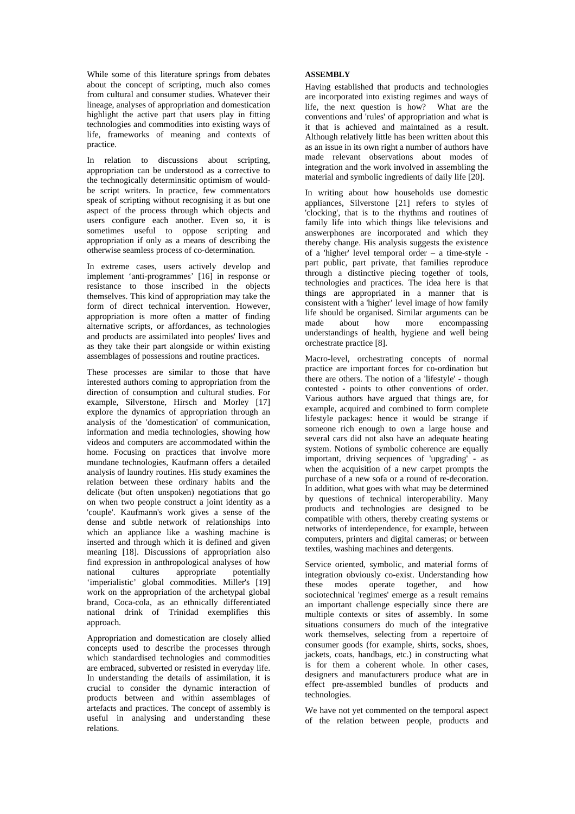While some of this literature springs from debates about the concept of scripting, much also comes from cultural and consumer studies. Whatever their lineage, analyses of appropriation and domestication highlight the active part that users play in fitting technologies and commodities into existing ways of life, frameworks of meaning and contexts of practice.

In relation to discussions about scripting, appropriation can be understood as a corrective to the technogically determinsitic optimism of wouldbe script writers. In practice, few commentators speak of scripting without recognising it as but one aspect of the process through which objects and users configure each another. Even so, it is sometimes useful to oppose scripting and appropriation if only as a means of describing the otherwise seamless process of co-determination.

In extreme cases, users actively develop and implement 'anti-programmes' [16] in response or resistance to those inscribed in the objects themselves. This kind of appropriation may take the form of direct technical intervention. However, appropriation is more often a matter of finding alternative scripts, or affordances, as technologies and products are assimilated into peoples' lives and as they take their part alongside or within existing assemblages of possessions and routine practices.

These processes are similar to those that have interested authors coming to appropriation from the direction of consumption and cultural studies. For example, Silverstone, Hirsch and Morley [17] explore the dynamics of appropriation through an analysis of the 'domestication' of communication, information and media technologies, showing how videos and computers are accommodated within the home. Focusing on practices that involve more mundane technologies, Kaufmann offers a detailed analysis of laundry routines. His study examines the relation between these ordinary habits and the delicate (but often unspoken) negotiations that go on when two people construct a joint identity as a 'couple'. Kaufmann's work gives a sense of the dense and subtle network of relationships into which an appliance like a washing machine is inserted and through which it is defined and given meaning [18]. Discussions of appropriation also find expression in anthropological analyses of how<br>national cultures appropriate potentially national cultures appropriate 'imperialistic' global commodities. Miller's [19] work on the appropriation of the archetypal global brand, Coca-cola, as an ethnically differentiated national drink of Trinidad exemplifies this approach.

Appropriation and domestication are closely allied concepts used to describe the processes through which standardised technologies and commodities are embraced, subverted or resisted in everyday life. In understanding the details of assimilation, it is crucial to consider the dynamic interaction of products between and within assemblages of artefacts and practices. The concept of assembly is useful in analysing and understanding these relations.

### **ASSEMBLY**

Having established that products and technologies are incorporated into existing regimes and ways of life, the next question is how? What are the conventions and 'rules' of appropriation and what is it that is achieved and maintained as a result. Although relatively little has been written about this as an issue in its own right a number of authors have made relevant observations about modes of integration and the work involved in assembling the material and symbolic ingredients of daily life [20].

In writing about how households use domestic appliances, Silverstone [21] refers to styles of 'clocking', that is to the rhythms and routines of family life into which things like televisions and answerphones are incorporated and which they thereby change. His analysis suggests the existence of a 'higher' level temporal order – a time-style part public, part private, that families reproduce through a distinctive piecing together of tools, technologies and practices. The idea here is that things are appropriated in a manner that is consistent with a 'higher' level image of how family life should be organised. Similar arguments can be made about how more encompassing understandings of health, hygiene and well being orchestrate practice [8].

Macro-level, orchestrating concepts of normal practice are important forces for co-ordination but there are others. The notion of a 'lifestyle' - though contested - points to other conventions of order. Various authors have argued that things are, for example, acquired and combined to form complete lifestyle packages: hence it would be strange if someone rich enough to own a large house and several cars did not also have an adequate heating system. Notions of symbolic coherence are equally important, driving sequences of 'upgrading' - as when the acquisition of a new carpet prompts the purchase of a new sofa or a round of re-decoration. In addition, what goes with what may be determined by questions of technical interoperability. Many products and technologies are designed to be compatible with others, thereby creating systems or networks of interdependence, for example, between computers, printers and digital cameras; or between textiles, washing machines and detergents.

Service oriented, symbolic, and material forms of integration obviously co-exist. Understanding how these modes operate together, and how sociotechnical 'regimes' emerge as a result remains an important challenge especially since there are multiple contexts or sites of assembly. In some situations consumers do much of the integrative work themselves, selecting from a repertoire of consumer goods (for example, shirts, socks, shoes, jackets, coats, handbags, etc.) in constructing what is for them a coherent whole. In other cases, designers and manufacturers produce what are in effect pre-assembled bundles of products and technologies.

We have not yet commented on the temporal aspect of the relation between people, products and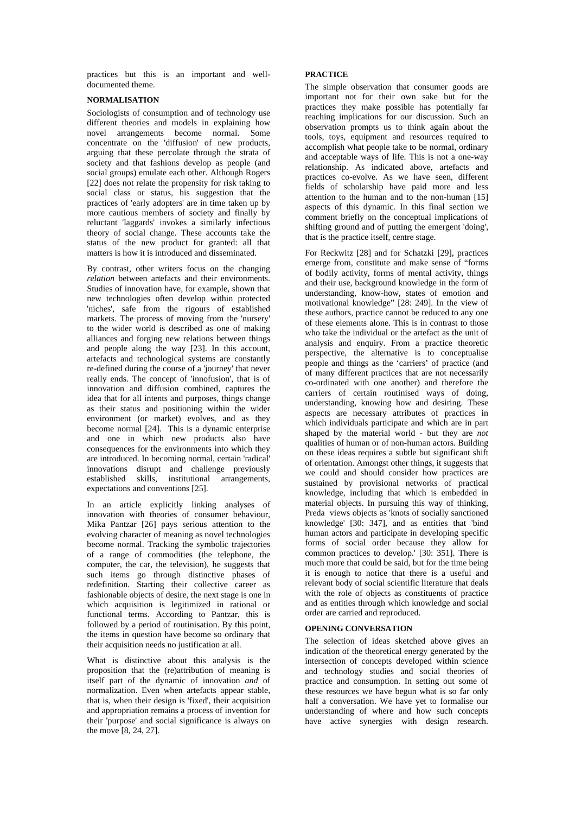practices but this is an important and welldocumented theme.

#### **NORMALISATION**

Sociologists of consumption and of technology use different theories and models in explaining how novel arrangements become normal. Some concentrate on the 'diffusion' of new products, arguing that these percolate through the strata of society and that fashions develop as people (and social groups) emulate each other. Although Rogers [22] does not relate the propensity for risk taking to social class or status, his suggestion that the practices of 'early adopters' are in time taken up by more cautious members of society and finally by reluctant 'laggards' invokes a similarly infectious theory of social change. These accounts take the status of the new product for granted: all that matters is how it is introduced and disseminated.

By contrast, other writers focus on the changing *relation* between artefacts and their environments. Studies of innovation have, for example, shown that new technologies often develop within protected 'niches', safe from the rigours of established markets. The process of moving from the 'nursery' to the wider world is described as one of making alliances and forging new relations between things and people along the way [23]. In this account, artefacts and technological systems are constantly re-defined during the course of a 'journey' that never really ends. The concept of 'innofusion', that is of innovation and diffusion combined, captures the idea that for all intents and purposes, things change as their status and positioning within the wider environment (or market) evolves, and as they become normal [24]. This is a dynamic enterprise and one in which new products also have consequences for the environments into which they are introduced. In becoming normal, certain 'radical' innovations disrupt and challenge previously established skills, institutional arrangements, expectations and conventions [25].

In an article explicitly linking analyses of innovation with theories of consumer behaviour, Mika Pantzar [26] pays serious attention to the evolving character of meaning as novel technologies become normal. Tracking the symbolic trajectories of a range of commodities (the telephone, the computer, the car, the television), he suggests that such items go through distinctive phases of redefinition. Starting their collective career as fashionable objects of desire, the next stage is one in which acquisition is legitimized in rational or functional terms. According to Pantzar, this is followed by a period of routinisation. By this point, the items in question have become so ordinary that their acquisition needs no justification at all.

What is distinctive about this analysis is the proposition that the (re)attribution of meaning is itself part of the dynamic of innovation *and* of normalization. Even when artefacts appear stable, that is, when their design is 'fixed', their acquisition and appropriation remains a process of invention for their 'purpose' and social significance is always on the move [8, 24, 27].

#### **PRACTICE**

The simple observation that consumer goods are important not for their own sake but for the practices they make possible has potentially far reaching implications for our discussion. Such an observation prompts us to think again about the tools, toys, equipment and resources required to accomplish what people take to be normal, ordinary and acceptable ways of life. This is not a one-way relationship. As indicated above, artefacts and practices co-evolve. As we have seen, different fields of scholarship have paid more and less attention to the human and to the non-human [15] aspects of this dynamic. In this final section we comment briefly on the conceptual implications of shifting ground and of putting the emergent 'doing', that is the practice itself, centre stage.

For Reckwitz [28] and for Schatzki [29], practices emerge from, constitute and make sense of "forms of bodily activity, forms of mental activity, things and their use, background knowledge in the form of understanding, know-how, states of emotion and motivational knowledge" [28: 249]. In the view of these authors, practice cannot be reduced to any one of these elements alone. This is in contrast to those who take the individual or the artefact as the unit of analysis and enquiry. From a practice theoretic perspective, the alternative is to conceptualise people and things as the 'carriers' of practice (and of many different practices that are not necessarily co-ordinated with one another) and therefore the carriers of certain routinised ways of doing, understanding, knowing how and desiring. These aspects are necessary attributes of practices in which individuals participate and which are in part shaped by the material world - but they are *not*  qualities of human or of non-human actors. Building on these ideas requires a subtle but significant shift of orientation. Amongst other things, it suggests that we could and should consider how practices are sustained by provisional networks of practical knowledge, including that which is embedded in material objects. In pursuing this way of thinking, Preda views objects as 'knots of socially sanctioned knowledge' [30: 347], and as entities that 'bind human actors and participate in developing specific forms of social order because they allow for common practices to develop.' [30: 351]. There is much more that could be said, but for the time being it is enough to notice that there is a useful and relevant body of social scientific literature that deals with the role of objects as constituents of practice and as entities through which knowledge and social order are carried and reproduced.

# **OPENING CONVERSATION**

The selection of ideas sketched above gives an indication of the theoretical energy generated by the intersection of concepts developed within science and technology studies and social theories of practice and consumption. In setting out some of these resources we have begun what is so far only half a conversation. We have yet to formalise our understanding of where and how such concepts have active synergies with design research.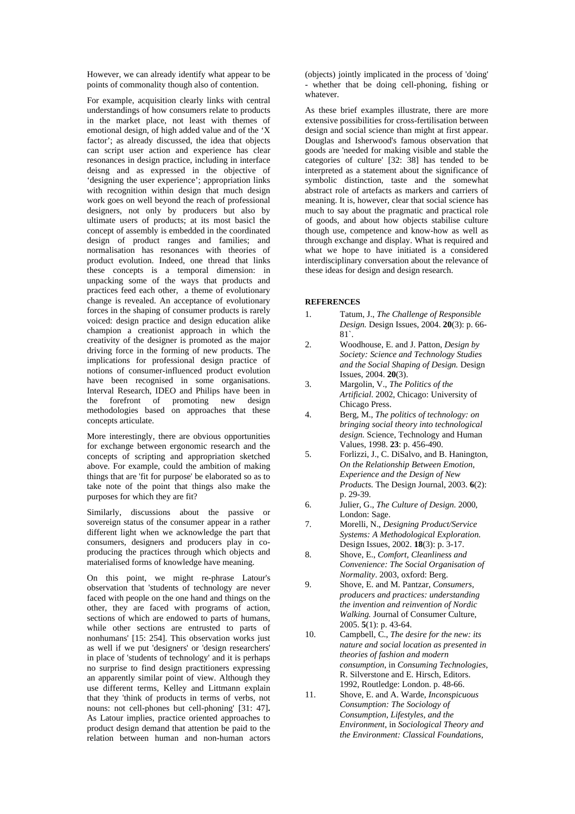However, we can already identify what appear to be points of commonality though also of contention.

For example, acquisition clearly links with central understandings of how consumers relate to products in the market place, not least with themes of emotional design, of high added value and of the 'X factor'; as already discussed, the idea that objects can script user action and experience has clear resonances in design practice, including in interface deisng and as expressed in the objective of 'designing the user experience'; appropriation links with recognition within design that much design work goes on well beyond the reach of professional designers, not only by producers but also by ultimate users of products; at its most basicl the concept of assembly is embedded in the coordinated design of product ranges and families; and normalisation has resonances with theories of product evolution. Indeed, one thread that links these concepts is a temporal dimension: in unpacking some of the ways that products and practices feed each other, a theme of evolutionary change is revealed. An acceptance of evolutionary forces in the shaping of consumer products is rarely voiced: design practice and design education alike champion a creationist approach in which the creativity of the designer is promoted as the major driving force in the forming of new products. The implications for professional design practice of notions of consumer-influenced product evolution have been recognised in some organisations. Interval Research, IDEO and Philips have been in the forefront of promoting new design methodologies based on approaches that these concepts articulate.

More interestingly, there are obvious opportunities for exchange between ergonomic research and the concepts of scripting and appropriation sketched above. For example, could the ambition of making things that are 'fit for purpose' be elaborated so as to take note of the point that things also make the purposes for which they are fit?

Similarly, discussions about the passive or sovereign status of the consumer appear in a rather different light when we acknowledge the part that consumers, designers and producers play in coproducing the practices through which objects and materialised forms of knowledge have meaning.

On this point, we might re-phrase Latour's observation that 'students of technology are never faced with people on the one hand and things on the other, they are faced with programs of action, sections of which are endowed to parts of humans, while other sections are entrusted to parts of nonhumans' [15: 254]. This observation works just as well if we put 'designers' or 'design researchers' in place of 'students of technology' and it is perhaps no surprise to find design practitioners expressing an apparently similar point of view. Although they use different terms, Kelley and Littmann explain that they 'think of products in terms of verbs, not nouns: not cell-phones but cell-phoning' [31: 47]**.**  As Latour implies, practice oriented approaches to product design demand that attention be paid to the relation between human and non-human actors

(objects) jointly implicated in the process of 'doing' - whether that be doing cell-phoning, fishing or whatever.

As these brief examples illustrate, there are more extensive possibilities for cross-fertilisation between design and social science than might at first appear. Douglas and Isherwood's famous observation that goods are 'needed for making visible and stable the categories of culture' [32: 38] has tended to be interpreted as a statement about the significance of symbolic distinction, taste and the somewhat abstract role of artefacts as markers and carriers of meaning. It is, however, clear that social science has much to say about the pragmatic and practical role of goods, and about how objects stabilise culture though use, competence and know-how as well as through exchange and display. What is required and what we hope to have initiated is a considered interdisciplinary conversation about the relevance of these ideas for design and design research.

#### **REFERENCES**

- 1. Tatum, J., *The Challenge of Responsible Design.* Design Issues, 2004. **20**(3): p. 66- 81`.
- 2. Woodhouse, E. and J. Patton, *Design by Society: Science and Technology Studies and the Social Shaping of Design.* Design Issues, 2004. **20**(3).
- 3. Margolin, V., *The Politics of the Artificial*. 2002, Chicago: University of Chicago Press.
- 4. Berg, M., *The politics of technology: on bringing social theory into technological design.* Science, Technology and Human Values, 1998. **23**: p. 456-490.
- 5. Forlizzi, J., C. DiSalvo, and B. Hanington, *On the Relationship Between Emotion, Experience and the Design of New Products.* The Design Journal, 2003. **6**(2): p. 29-39.
- 6. Julier, G., *The Culture of Design*. 2000, London: Sage.
- 7. Morelli, N., *Designing Product/Service Systems: A Methodological Exploration.* Design Issues, 2002. **18**(3): p. 3-17.
- 8. Shove, E., *Comfort, Cleanliness and Convenience: The Social Organisation of Normality*. 2003, oxford: Berg.
- 9. Shove, E. and M. Pantzar, *Consumers, producers and practices: understanding the invention and reinvention of Nordic Walking.* Journal of Consumer Culture, 2005. **5**(1): p. 43-64.
- 10. Campbell, C., *The desire for the new: its nature and social location as presented in theories of fashion and modern consumption*, in *Consuming Technologies*, R. Silverstone and E. Hirsch, Editors. 1992, Routledge: London. p. 48-66.
- 11. Shove, E. and A. Warde, *Inconspicuous Consumption: The Sociology of Consumption, Lifestyles, and the Environment*, in *Sociological Theory and the Environment: Classical Foundations,*